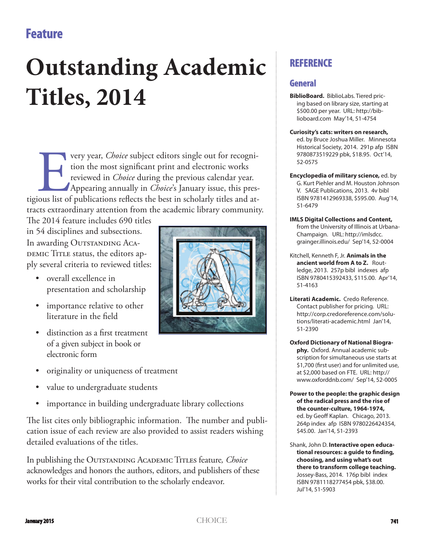## **Feature**

# **Outstanding Academic Titles, 2014**

The very year, *Choice* subject editors single out for recognition the most significant print and electronic works reviewed in *Choice* during the previous calendar year. Appearing annually in *Choice*'s January issue, thi tion the most significant print and electronic works reviewed in *Choice* during the previous calendar year. Appearing annually in *Choice*'s January issue, this prestigious list of publications reflects the best in scholarly titles and attracts extraordinary attention from the academic library community.

The 2014 feature includes 690 titles in 54 disciplines and subsections. In awarding OUTSTANDING ACA-DEMIC TITLE status, the editors apply several criteria to reviewed titles:

- overall excellence in presentation and scholarship
- importance relative to other literature in the field
- distinction as a first treatment of a given subject in book or electronic form
- originality or uniqueness of treatment
- value to undergraduate students
- importance in building undergraduate library collections

The list cites only bibliographic information. The number and publication issue of each review are also provided to assist readers wishing detailed evaluations of the titles.

In publishing the Outstanding Academic Titles feature*, Choice* acknowledges and honors the authors, editors, and publishers of these works for their vital contribution to the scholarly endeavor.



## **REFERENCE**

### **General**

- **BiblioBoard.** BiblioLabs. Tiered pricing based on library size, starting at \$500.00 per year. URL: http://biblioboard.com May'14, 51-4754
- **Curiosity's cats: writers on research,**  ed. by Bruce Joshua Miller. Minnesota Historical Society, 2014. 291p afp ISBN 9780873519229 pbk, \$18.95. Oct'14, 52-0575
- **Encyclopedia of military science,** ed. by G. Kurt Piehler and M. Houston Johnson V. SAGE Publications, 2013. 4v bibl ISBN 9781412969338, \$595.00. Aug'14, 51-6479
- **IMLS Digital Collections and Content,**  from the University of Illinois at Urbana-Champaign. URL: http://imlsdcc. grainger.illinois.edu/ Sep'14, 52-0004
- Kitchell, Kenneth F, Jr. **Animals in the ancient world from A to Z.** Routledge, 2013. 257p bibl indexes afp ISBN 9780415392433, \$115.00. Apr'14, 51-4163
- **Literati Academic.** Credo Reference. Contact publisher for pricing. URL: http://corp.credoreference.com/solutions/literati-academic.html Jan'14, 51-2390
- **Oxford Dictionary of National Biography.** Oxford. Annual academic subscription for simultaneous use starts at \$1,700 (first user) and for unlimited use, at \$2,000 based on FTE. URL: http:// www.oxforddnb.com/ Sep'14, 52-0005
- **Power to the people: the graphic design of the radical press and the rise of the counter-culture, 1964-1974,**  ed. by Geoff Kaplan. Chicago, 2013. 264p index afp ISBN 9780226424354, \$45.00. Jan'14, 51-2393
- Shank, John D. **Interactive open educa**tional resources: a guide to finding, **choosing, and using what's out there to transform college teaching.** Jossey-Bass, 2014. 176p bibl index ISBN 9781118277454 pbk, \$38.00. Jul'14, 51-5903